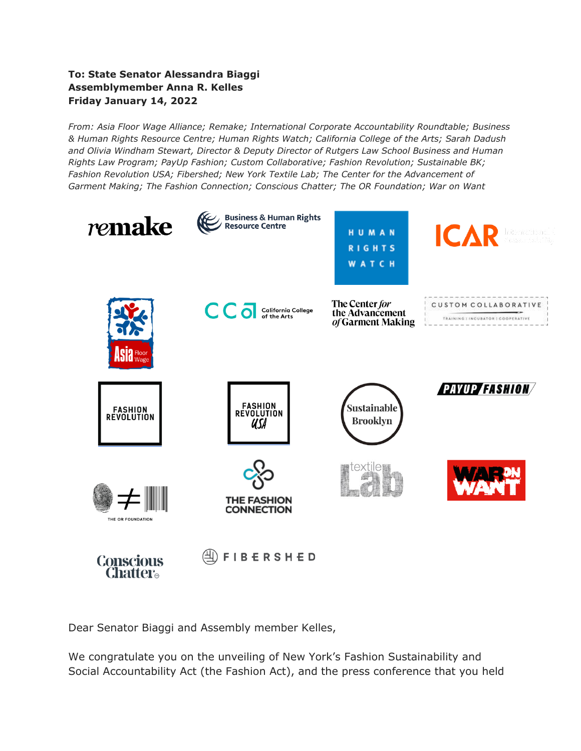#### **To: State Senator Alessandra Biaggi Assemblymember Anna R. Kelles Friday January 14, 2022**

*From: Asia Floor Wage Alliance; Remake; International Corporate Accountability Roundtable; Business & Human Rights Resource Centre; Human Rights Watch; California College of the Arts; Sarah Dadush and Olivia Windham Stewart, Director & Deputy Director of Rutgers Law School Business and Human Rights Law Program; PayUp Fashion; Custom Collaborative; Fashion Revolution; Sustainable BK; Fashion Revolution USA; Fibershed; New York Textile Lab; The Center for the Advancement of Garment Making; The Fashion Connection; Conscious Chatter; The OR Foundation; War on Want*



Dear Senator Biaggi and Assembly member Kelles,

We congratulate you on the unveiling of New York's Fashion Sustainability and Social Accountability Act (the Fashion Act), and the press conference that you held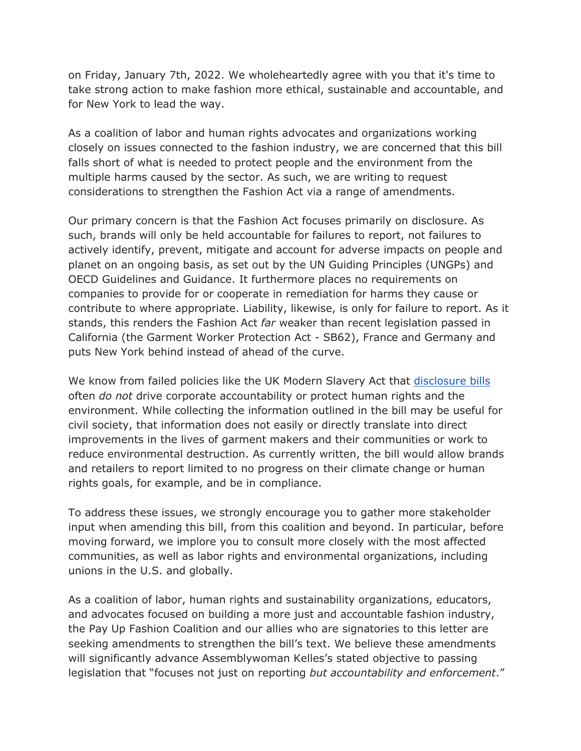on Friday, January 7th, 2022. We wholeheartedly agree with you that it's time to take strong action to make fashion more ethical, sustainable and accountable, and for New York to lead the way.

As a coalition of labor and human rights advocates and organizations working closely on issues connected to the fashion industry, we are concerned that this bill falls short of what is needed to protect people and the environment from the multiple harms caused by the sector. As such, we are writing to request considerations to strengthen the Fashion Act via a range of amendments.

Our primary concern is that the Fashion Act focuses primarily on disclosure. As such, brands will only be held accountable for failures to report, not failures to actively identify, prevent, mitigate and account for adverse impacts on people and planet on an ongoing basis, as set out by the UN Guiding Principles (UNGPs) and OECD Guidelines and Guidance. It furthermore places no requirements on companies to provide for or cooperate in remediation for harms they cause or contribute to where appropriate. Liability, likewise, is only for failure to report. As it stands, this renders the Fashion Act *far* weaker than recent legislation passed in California (the Garment Worker Protection Act - SB62), France and Germany and puts New York behind instead of ahead of the curve.

We know from failed policies like the UK Modern Slavery Act that [disclosure bills](https://www.business-humanrights.org/en/from-us/media-centre/six-years-on-modern-slavery-act-failed-to-tackle-forced-labour/) often *do not* drive corporate accountability or protect human rights and the environment. While collecting the information outlined in the bill may be useful for civil society, that information does not easily or directly translate into direct improvements in the lives of garment makers and their communities or work to reduce environmental destruction. As currently written, the bill would allow brands and retailers to report limited to no progress on their climate change or human rights goals, for example, and be in compliance.

To address these issues, we strongly encourage you to gather more stakeholder input when amending this bill, from this coalition and beyond. In particular, before moving forward, we implore you to consult more closely with the most affected communities, as well as labor rights and environmental organizations, including unions in the U.S. and globally.

As a coalition of labor, human rights and sustainability organizations, educators, and advocates focused on building a more just and accountable fashion industry, the Pay Up Fashion Coalition and our allies who are signatories to this letter are seeking amendments to strengthen the bill's text. We believe these amendments will significantly advance Assemblywoman Kelles's stated objective to passing legislation that "focuses not just on reporting *but accountability and enforcement*."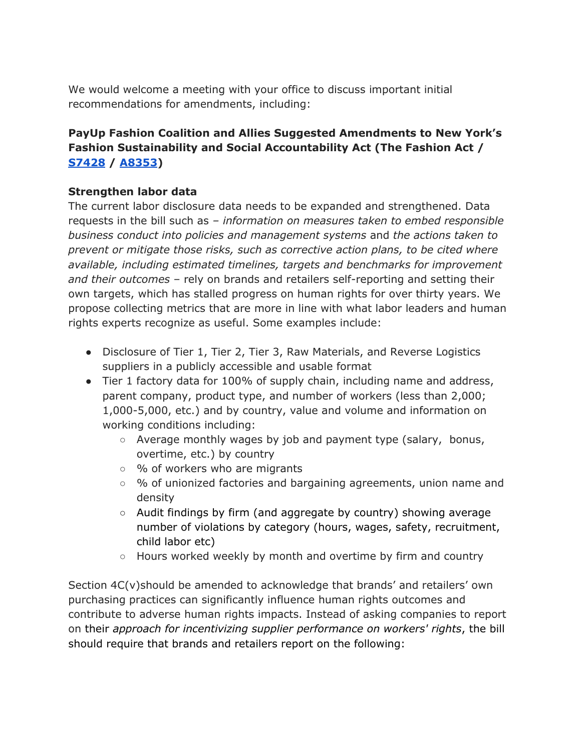We would welcome a meeting with your office to discuss important initial recommendations for amendments, including:

# **PayUp Fashion Coalition and Allies Suggested Amendments to New York's Fashion Sustainability and Social Accountability Act (The Fashion Act / [S7428](https://www.nysenate.gov/legislation/bills/2021/s7428) / [A8353\)](https://www.nysenate.gov/legislation/bills/2021/A8352)**

#### **Strengthen labor data**

The current labor disclosure data needs to be expanded and strengthened. Data requests in the bill such as *– information on measures taken to embed responsible business conduct into policies and management systems* and *the actions taken to prevent or mitigate those risks, such as corrective action plans, to be cited where available, including estimated timelines, targets and benchmarks for improvement and their outcomes* – rely on brands and retailers self-reporting and setting their own targets, which has stalled progress on human rights for over thirty years. We propose collecting metrics that are more in line with what labor leaders and human rights experts recognize as useful. Some examples include:

- Disclosure of Tier 1, Tier 2, Tier 3, Raw Materials, and Reverse Logistics suppliers in a publicly accessible and usable format
- Tier 1 factory data for 100% of supply chain, including name and address, parent company, product type, and number of workers (less than 2,000; 1,000-5,000, etc.) and by country, value and volume and information on working conditions including:
	- $\circ$  Average monthly wages by job and payment type (salary, bonus, overtime, etc.) by country
	- % of workers who are migrants
	- % of unionized factories and bargaining agreements, union name and density
	- $\circ$  Audit findings by firm (and aggregate by country) showing average number of violations by category (hours, wages, safety, recruitment, child labor etc)
	- Hours worked weekly by month and overtime by firm and country

Section 4C(v)should be amended to acknowledge that brands' and retailers' own purchasing practices can significantly influence human rights outcomes and contribute to adverse human rights impacts. Instead of asking companies to report on their *approach for incentivizing supplier performance on workers' rights*, the bill should require that brands and retailers report on the following: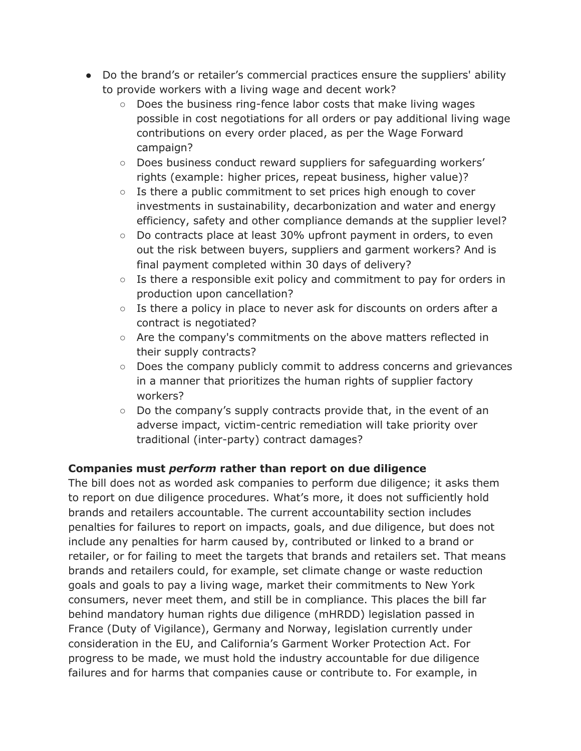- Do the brand's or retailer's commercial practices ensure the suppliers' ability to provide workers with a living wage and decent work?
	- Does the business ring-fence labor costs that make living wages possible in cost negotiations for all orders or pay additional living wage contributions on every order placed, as per the Wage Forward campaign?
	- Does business conduct reward suppliers for safeguarding workers' rights (example: higher prices, repeat business, higher value)?
	- $\circ$  Is there a public commitment to set prices high enough to cover investments in sustainability, decarbonization and water and energy efficiency, safety and other compliance demands at the supplier level?
	- $\circ$  Do contracts place at least 30% upfront payment in orders, to even out the risk between buyers, suppliers and garment workers? And is final payment completed within 30 days of delivery?
	- $\circ$  Is there a responsible exit policy and commitment to pay for orders in production upon cancellation?
	- $\circ$  Is there a policy in place to never ask for discounts on orders after a contract is negotiated?
	- Are the company's commitments on the above matters reflected in their supply contracts?
	- Does the company publicly commit to address concerns and grievances in a manner that prioritizes the human rights of supplier factory workers?
	- $\circ$  Do the company's supply contracts provide that, in the event of an adverse impact, victim-centric remediation will take priority over traditional (inter-party) contract damages?

## **Companies must** *perform* **rather than report on due diligence**

The bill does not as worded ask companies to perform due diligence; it asks them to report on due diligence procedures. What's more, it does not sufficiently hold brands and retailers accountable. The current accountability section includes penalties for failures to report on impacts, goals, and due diligence, but does not include any penalties for harm caused by, contributed or linked to a brand or retailer, or for failing to meet the targets that brands and retailers set. That means brands and retailers could, for example, set climate change or waste reduction goals and goals to pay a living wage, market their commitments to New York consumers, never meet them, and still be in compliance. This places the bill far behind mandatory human rights due diligence (mHRDD) legislation passed in France (Duty of Vigilance), Germany and Norway, legislation currently under consideration in the EU, and California's Garment Worker Protection Act. For progress to be made, we must hold the industry accountable for due diligence failures and for harms that companies cause or contribute to. For example, in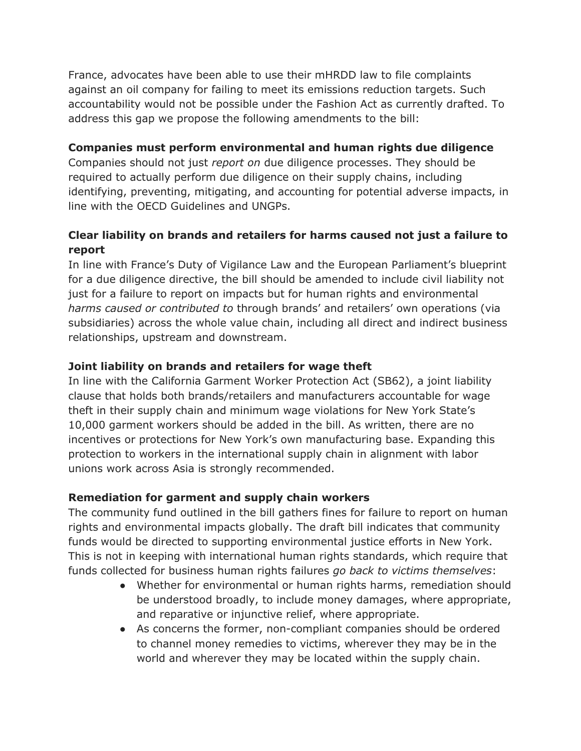France, advocates have been able to use their mHRDD law to file complaints against an oil company for failing to meet its emissions reduction targets. Such accountability would not be possible under the Fashion Act as currently drafted. To address this gap we propose the following amendments to the bill:

### **Companies must perform environmental and human rights due diligence**

Companies should not just *report on* due diligence processes. They should be required to actually perform due diligence on their supply chains, including identifying, preventing, mitigating, and accounting for potential adverse impacts, in line with the OECD Guidelines and UNGPs.

# **Clear liability on brands and retailers for harms caused not just a failure to report**

In line with France's Duty of Vigilance Law and the European Parliament's blueprint for a due diligence directive, the bill should be amended to include civil liability not just for a failure to report on impacts but for human rights and environmental *harms caused or contributed to* through brands' and retailers' own operations (via subsidiaries) across the whole value chain, including all direct and indirect business relationships, upstream and downstream.

## **Joint liability on brands and retailers for wage theft**

In line with the California Garment Worker Protection Act (SB62), a joint liability clause that holds both brands/retailers and manufacturers accountable for wage theft in their supply chain and minimum wage violations for New York State's 10,000 garment workers should be added in the bill. As written, there are no incentives or protections for New York's own manufacturing base. Expanding this protection to workers in the international supply chain in alignment with labor unions work across Asia is strongly recommended.

## **Remediation for garment and supply chain workers**

The community fund outlined in the bill gathers fines for failure to report on human rights and environmental impacts globally. The draft bill indicates that community funds would be directed to supporting environmental justice efforts in New York. This is not in keeping with international human rights standards, which require that funds collected for business human rights failures *go back to victims themselves*:

- Whether for environmental or human rights harms, remediation should be understood broadly, to include money damages, where appropriate, and reparative or injunctive relief, where appropriate.
- As concerns the former, non-compliant companies should be ordered to channel money remedies to victims, wherever they may be in the world and wherever they may be located within the supply chain.